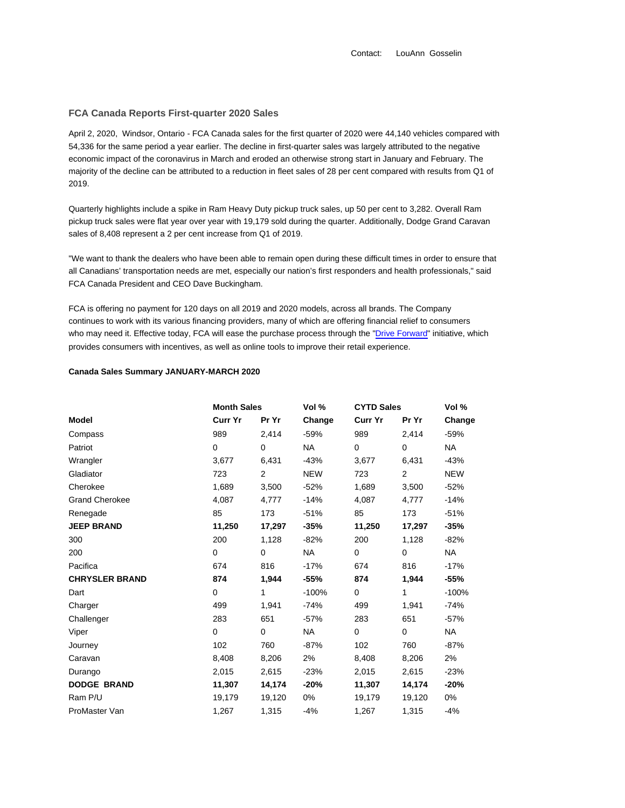Contact: LouAnn Gosselin

## **FCA Canada Reports First-quarter 2020 Sales**

April 2, 2020, Windsor, Ontario - FCA Canada sales for the first quarter of 2020 were 44,140 vehicles compared with 54,336 for the same period a year earlier. The decline in first-quarter sales was largely attributed to the negative economic impact of the coronavirus in March and eroded an otherwise strong start in January and February. The majority of the decline can be attributed to a reduction in fleet sales of 28 per cent compared with results from Q1 of 2019.

Quarterly highlights include a spike in Ram Heavy Duty pickup truck sales, up 50 per cent to 3,282. Overall Ram pickup truck sales were flat year over year with 19,179 sold during the quarter. Additionally, Dodge Grand Caravan sales of 8,408 represent a 2 per cent increase from Q1 of 2019.

"We want to thank the dealers who have been able to remain open during these difficult times in order to ensure that all Canadians' transportation needs are met, especially our nation's first responders and health professionals," said FCA Canada President and CEO Dave Buckingham.

FCA is offering no payment for 120 days on all 2019 and 2020 models, across all brands. The Company continues to work with its various financing providers, many of which are offering financial relief to consumers who may need it. Effective today, FCA will ease the purchase process through the "Drive Forward" initiative, which provides consumers with incentives, as well as online tools to improve their retail experience.

## **Canada Sales Summary JANUARY-MARCH 2020**

|                       | <b>Month Sales</b> |                | Vol %      | <b>CYTD Sales</b> |             | Vol %      |
|-----------------------|--------------------|----------------|------------|-------------------|-------------|------------|
| Model                 | <b>Curr Yr</b>     | Pr Yr          | Change     | <b>Curr Yr</b>    | Pr Yr       | Change     |
| Compass               | 989                | 2,414          | $-59%$     | 989               | 2,414       | $-59%$     |
| Patriot               | $\Omega$           | $\Omega$       | <b>NA</b>  | $\mathbf 0$       | $\Omega$    | NA.        |
| Wrangler              | 3,677              | 6,431          | $-43%$     | 3,677             | 6,431       | $-43%$     |
| Gladiator             | 723                | $\overline{2}$ | <b>NEW</b> | 723               | 2           | <b>NEW</b> |
| Cherokee              | 1,689              | 3,500          | $-52%$     | 1,689             | 3,500       | $-52%$     |
| <b>Grand Cherokee</b> | 4,087              | 4,777          | $-14%$     | 4,087             | 4,777       | $-14%$     |
| Renegade              | 85                 | 173            | $-51%$     | 85                | 173         | $-51%$     |
| <b>JEEP BRAND</b>     | 11,250             | 17,297         | $-35%$     | 11,250            | 17,297      | $-35%$     |
| 300                   | 200                | 1,128          | $-82%$     | 200               | 1,128       | $-82%$     |
| 200                   | 0                  | $\Omega$       | <b>NA</b>  | $\mathbf 0$       | $\mathbf 0$ | <b>NA</b>  |
| Pacifica              | 674                | 816            | $-17%$     | 674               | 816         | -17%       |
| <b>CHRYSLER BRAND</b> | 874                | 1,944          | $-55%$     | 874               | 1,944       | -55%       |
| Dart                  | $\mathbf 0$        | 1              | $-100%$    | $\mathbf 0$       | 1           | $-100%$    |
| Charger               | 499                | 1,941          | $-74%$     | 499               | 1,941       | $-74%$     |
| Challenger            | 283                | 651            | $-57%$     | 283               | 651         | $-57%$     |
| Viper                 | 0                  | $\mathbf 0$    | <b>NA</b>  | 0                 | $\mathbf 0$ | NA         |
| Journey               | 102                | 760            | $-87%$     | 102               | 760         | $-87%$     |
| Caravan               | 8,408              | 8,206          | 2%         | 8,408             | 8,206       | 2%         |
| Durango               | 2,015              | 2,615          | $-23%$     | 2,015             | 2,615       | $-23%$     |
| <b>DODGE BRAND</b>    | 11,307             | 14,174         | $-20%$     | 11,307            | 14,174      | $-20%$     |
| Ram P/U               | 19,179             | 19,120         | 0%         | 19,179            | 19,120      | 0%         |
| ProMaster Van         | 1,267              | 1,315          | $-4%$      | 1,267             | 1,315       | $-4%$      |